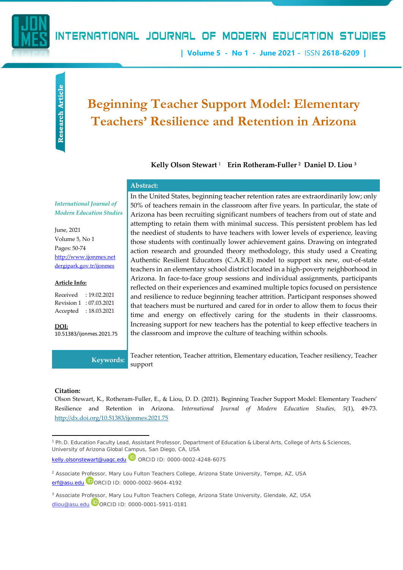

## INTERNATIONAL JOURNAL OF MODERN EDUCATION STUDIES

**| Volume 5 - No 1 - June 2021 -** ISSN **2618-6209 |**

# **Beginning Teacher Support Model: Elementary Teachers' Resilience and Retention in Arizona**

**Kelly Olson Stewart** <sup>1</sup> – **Erin Rotheram-Fuller <sup>2</sup>** - **Daniel D. Liou <sup>3</sup>**

#### **Abstract:**

*International Journal of Modern Education Studies*

June, 2021 Volume 5, No 1 Pages: 50-74 [http://www.ijonmes.net](http://www.ijonmes.net/) [dergipark.gov.tr/ijonmes](http://www.dergipark.gov.tr/ijonmes)

#### **Article Info:**

Received : 19.02.2021 Revision 1 : 07.03.2021 Accepted : 18.03.2021

**DOI:** [10.51383/ijonmes.2021.75](http://dx.doi.org/10.51383/ijonmes.2021.75) In the United States, beginning teacher retention rates are extraordinarily low; only 50% of teachers remain in the classroom after five years. In particular, the state of Arizona has been recruiting significant numbers of teachers from out of state and attempting to retain them with minimal success. This persistent problem has led the neediest of students to have teachers with lower levels of experience, leaving those students with continually lower achievement gains. Drawing on integrated action research and grounded theory methodology, this study used a Creating Authentic Resilient Educators (C.A.R.E) model to support six new, out-of-state teachers in an elementary school district located in a high-poverty neighborhood in Arizona. In face-to-face group sessions and individual assignments, participants reflected on their experiences and examined multiple topics focused on persistence and resilience to reduce beginning teacher attrition. Participant responses showed that teachers must be nurtured and cared for in order to allow them to focus their time and energy on effectively caring for the students in their classrooms. Increasing support for new teachers has the potential to keep effective teachers in the classroom and improve the culture of teaching within schools.

**Keywords:** Teacher retention, Teacher attrition, Elementary education, Teacher resiliency, Teacher support

#### **Citation:**

Olson Stewart, K., Rotheram-Fuller, E., & Liou, D. D. (2021). Beginning Teacher Support Model: Elementary Teachers' Resilience and Retention in Arizona. *International Journal of Modern Education Studies, 5*(1), 49-73. <http://dx.doi.org/10.51383/ijonmes.2021.75>

<sup>1</sup> Ph.D. Education Faculty Lead, Assistant Professor, Department of Education & Liberal Arts, College of Arts & Sciences, University of Arizona Global Campus, San Diego, CA, USA

[kelly.olsonstewart@uagc.edu](mailto:kelly.olsonstewart@uagc.edu) **D** ORCID ID: 0000-0002-4248-6075

<sup>2</sup> Associate Professor, Mary Lou Fulton Teachers College, Arizona State University, Tempe, AZ, USA [erf@asu.edu](mailto:erf@asu.edu) DORCID ID: 0000-0002-9604-4192

<sup>3</sup> Associate Professor, Mary Lou Fulton Teachers College, Arizona State University, Glendale, AZ, USA [dliou@asu.edu](mailto:dliou@asu.edu) ORCID ID: [0000-0001-5911-0181](https://orcid.org/0000-0001-5911-0181)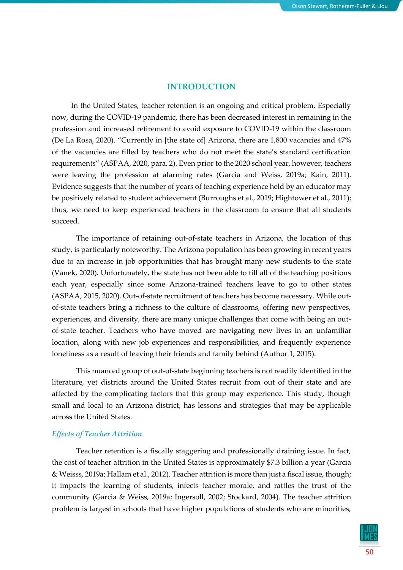## **INTRODUCTION**

In the United States, teacher retention is an ongoing and critical problem. Especially now, during the COVID-19 pandemic, there has been decreased interest in remaining in the profession and increased retirement to avoid exposure to COVID-19 within the classroom (De La Rosa, 2020). "Currently in [the state of] Arizona, there are 1,800 vacancies and 47% of the vacancies are filled by teachers who do not meet the state's standard certification requirements" (ASPAA, 2020, para. 2). Even prior to the 2020 school year, however, teachers were leaving the profession at alarming rates (Garcia and Weiss, 2019a; Kain, 2011). Evidence suggests that the number of years of teaching experience held by an educator may be positively related to student achievement (Burroughs et al., 2019; Hightower et al., 2011); thus, we need to keep experienced teachers in the classroom to ensure that all students succeed.

The importance of retaining out-of-state teachers in Arizona, the location of this study, is particularly noteworthy. The Arizona population has been growing in recent years due to an increase in job opportunities that has brought many new students to the state (Vanek, 2020). Unfortunately, the state has not been able to fill all of the teaching positions each year, especially since some Arizona-trained teachers leave to go to other states (ASPAA, 2015, 2020). Out-of-state recruitment of teachers has become necessary. While outof-state teachers bring a richness to the culture of classrooms, offering new perspectives, experiences, and diversity, there are many unique challenges that come with being an outof-state teacher. Teachers who have moved are navigating new lives in an unfamiliar location, along with new job experiences and responsibilities, and frequently experience loneliness as a result of leaving their friends and family behind (Author 1, 2015).

This nuanced group of out-of-state beginning teachers is not readily identified in the literature, yet districts around the United States recruit from out of their state and are affected by the complicating factors that this group may experience. This study, though small and local to an Arizona district, has lessons and strategies that may be applicable across the United States.

## *Effects of Teacher Attrition*

Teacher retention is a fiscally staggering and professionally draining issue. In fact, the cost of teacher attrition in the United States is approximately \$7.3 billion a year (Garcia & Weisss, 2019a; Hallam et al., 2012). Teacher attrition is more than just a fiscal issue, though; it impacts the learning of students, infects teacher morale, and rattles the trust of the community (Garcia & Weiss, 2019a; Ingersoll, 2002; Stockard, 2004). The teacher attrition problem is largest in schools that have higher populations of students who are minorities,

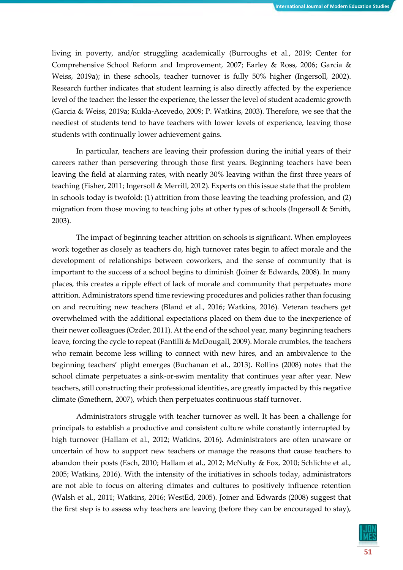living in poverty, and/or struggling academically (Burroughs et al., 2019; Center for Comprehensive School Reform and Improvement, 2007; Earley & Ross, 2006; Garcia & Weiss, 2019a); in these schools, teacher turnover is fully 50% higher (Ingersoll, 2002). Research further indicates that student learning is also directly affected by the experience level of the teacher: the lesser the experience, the lesser the level of student academic growth (Garcia & Weiss, 2019a; Kukla-Acevedo, 2009; P. Watkins, 2003). Therefore, we see that the neediest of students tend to have teachers with lower levels of experience, leaving those students with continually lower achievement gains.

In particular, teachers are leaving their profession during the initial years of their careers rather than persevering through those first years. Beginning teachers have been leaving the field at alarming rates, with nearly 30% leaving within the first three years of teaching (Fisher, 2011; Ingersoll & Merrill, 2012). Experts on this issue state that the problem in schools today is twofold: (1) attrition from those leaving the teaching profession, and (2) migration from those moving to teaching jobs at other types of schools (Ingersoll & Smith, 2003).

The impact of beginning teacher attrition on schools is significant. When employees work together as closely as teachers do, high turnover rates begin to affect morale and the development of relationships between coworkers, and the sense of community that is important to the success of a school begins to diminish (Joiner & Edwards, 2008). In many places, this creates a ripple effect of lack of morale and community that perpetuates more attrition. Administrators spend time reviewing procedures and policies rather than focusing on and recruiting new teachers (Bland et al., 2016; Watkins, 2016). Veteran teachers get overwhelmed with the additional expectations placed on them due to the inexperience of their newer colleagues (Ozder, 2011). At the end of the school year, many beginning teachers leave, forcing the cycle to repeat (Fantilli & McDougall, 2009). Morale crumbles, the teachers who remain become less willing to connect with new hires, and an ambivalence to the beginning teachers' plight emerges (Buchanan et al., 2013). Rollins (2008) notes that the school climate perpetuates a sink-or-swim mentality that continues year after year. New teachers, still constructing their professional identities, are greatly impacted by this negative climate (Smethern, 2007), which then perpetuates continuous staff turnover.

Administrators struggle with teacher turnover as well. It has been a challenge for principals to establish a productive and consistent culture while constantly interrupted by high turnover (Hallam et al., 2012; Watkins, 2016). Administrators are often unaware or uncertain of how to support new teachers or manage the reasons that cause teachers to abandon their posts (Esch, 2010; Hallam et al., 2012; McNulty & Fox, 2010; Schlichte et al., 2005; Watkins, 2016). With the intensity of the initiatives in schools today, administrators are not able to focus on altering climates and cultures to positively influence retention (Walsh et al., 2011; Watkins, 2016; WestEd, 2005). Joiner and Edwards (2008) suggest that the first step is to assess why teachers are leaving (before they can be encouraged to stay),

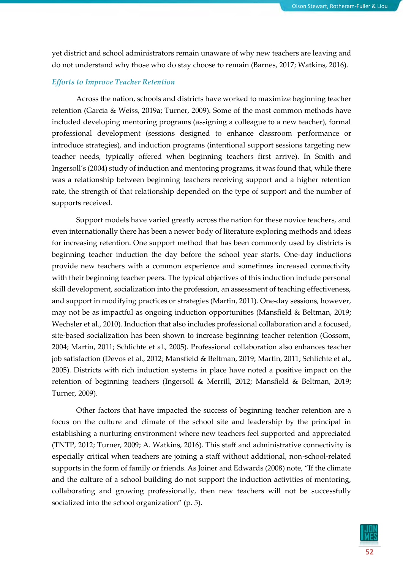yet district and school administrators remain unaware of why new teachers are leaving and do not understand why those who do stay choose to remain (Barnes, 2017; Watkins, 2016).

#### *Efforts to Improve Teacher Retention*

Across the nation, schools and districts have worked to maximize beginning teacher retention (Garcia & Weiss, 2019a; Turner, 2009). Some of the most common methods have included developing mentoring programs (assigning a colleague to a new teacher), formal professional development (sessions designed to enhance classroom performance or introduce strategies), and induction programs (intentional support sessions targeting new teacher needs, typically offered when beginning teachers first arrive). In Smith and Ingersoll's (2004) study of induction and mentoring programs, it was found that, while there was a relationship between beginning teachers receiving support and a higher retention rate, the strength of that relationship depended on the type of support and the number of supports received.

Support models have varied greatly across the nation for these novice teachers, and even internationally there has been a newer body of literature exploring methods and ideas for increasing retention. One support method that has been commonly used by districts is beginning teacher induction the day before the school year starts. One-day inductions provide new teachers with a common experience and sometimes increased connectivity with their beginning teacher peers. The typical objectives of this induction include personal skill development, socialization into the profession, an assessment of teaching effectiveness, and support in modifying practices or strategies (Martin, 2011). One-day sessions, however, may not be as impactful as ongoing induction opportunities (Mansfield & Beltman, 2019; Wechsler et al., 2010). Induction that also includes professional collaboration and a focused, site-based socialization has been shown to increase beginning teacher retention (Gossom, 2004; Martin, 2011; Schlichte et al., 2005). Professional collaboration also enhances teacher job satisfaction (Devos et al., 2012; Mansfield & Beltman, 2019; Martin, 2011; Schlichte et al., 2005). Districts with rich induction systems in place have noted a positive impact on the retention of beginning teachers (Ingersoll & Merrill, 2012; Mansfield & Beltman, 2019; Turner, 2009).

Other factors that have impacted the success of beginning teacher retention are a focus on the culture and climate of the school site and leadership by the principal in establishing a nurturing environment where new teachers feel supported and appreciated (TNTP, 2012; Turner, 2009; A. Watkins, 2016). This staff and administrative connectivity is especially critical when teachers are joining a staff without additional, non-school-related supports in the form of family or friends. As Joiner and Edwards (2008) note, "If the climate and the culture of a school building do not support the induction activities of mentoring, collaborating and growing professionally, then new teachers will not be successfully socialized into the school organization" (p. 5).

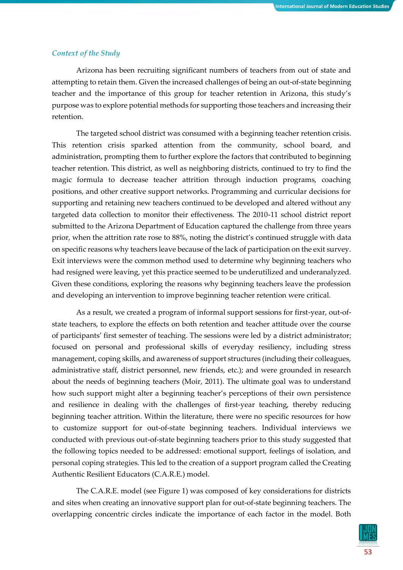#### *Context of the Study*

Arizona has been recruiting significant numbers of teachers from out of state and attempting to retain them. Given the increased challenges of being an out-of-state beginning teacher and the importance of this group for teacher retention in Arizona, this study's purpose was to explore potential methods for supporting those teachers and increasing their retention.

The targeted school district was consumed with a beginning teacher retention crisis. This retention crisis sparked attention from the community, school board, and administration, prompting them to further explore the factors that contributed to beginning teacher retention. This district, as well as neighboring districts, continued to try to find the magic formula to decrease teacher attrition through induction programs, coaching positions, and other creative support networks. Programming and curricular decisions for supporting and retaining new teachers continued to be developed and altered without any targeted data collection to monitor their effectiveness. The 2010-11 school district report submitted to the Arizona Department of Education captured the challenge from three years prior, when the attrition rate rose to 88%, noting the district's continued struggle with data on specific reasons why teachers leave because of the lack of participation on the exit survey. Exit interviews were the common method used to determine why beginning teachers who had resigned were leaving, yet this practice seemed to be underutilized and underanalyzed. Given these conditions, exploring the reasons why beginning teachers leave the profession and developing an intervention to improve beginning teacher retention were critical.

As a result, we created a program of informal support sessions for first-year, out-ofstate teachers, to explore the effects on both retention and teacher attitude over the course of participants' first semester of teaching. The sessions were led by a district administrator; focused on personal and professional skills of everyday resiliency, including stress management, coping skills, and awareness of support structures (including their colleagues, administrative staff, district personnel, new friends, etc.); and were grounded in research about the needs of beginning teachers (Moir, 2011). The ultimate goal was to understand how such support might alter a beginning teacher's perceptions of their own persistence and resilience in dealing with the challenges of first-year teaching, thereby reducing beginning teacher attrition. Within the literature, there were no specific resources for how to customize support for out-of-state beginning teachers. Individual interviews we conducted with previous out-of-state beginning teachers prior to this study suggested that the following topics needed to be addressed: emotional support, feelings of isolation, and personal coping strategies. This led to the creation of a support program called the Creating Authentic Resilient Educators (C.A.R.E.) model.

The C.A.R.E. model (see Figure 1) was composed of key considerations for districts and sites when creating an innovative support plan for out-of-state beginning teachers. The overlapping concentric circles indicate the importance of each factor in the model. Both

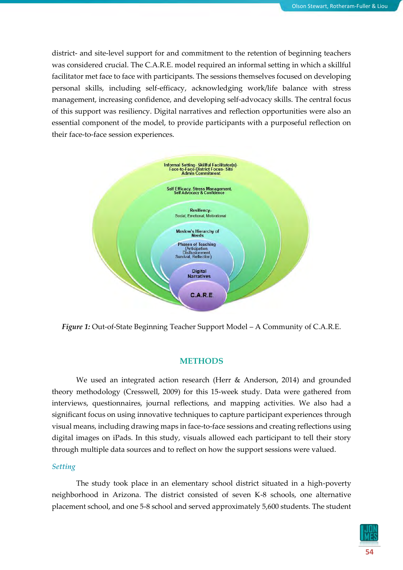district- and site-level support for and commitment to the retention of beginning teachers was considered crucial. The C.A.R.E. model required an informal setting in which a skillful facilitator met face to face with participants. The sessions themselves focused on developing personal skills, including self-efficacy, acknowledging work/life balance with stress management, increasing confidence, and developing self-advocacy skills. The central focus of this support was resiliency. Digital narratives and reflection opportunities were also an essential component of the model, to provide participants with a purposeful reflection on their face-to-face session experiences.



*Figure 1:* Out-of-State Beginning Teacher Support Model – A Community of C.A.R.E.

## **METHODS**

We used an integrated action research (Herr & Anderson, 2014) and grounded theory methodology (Cresswell, 2009) for this 15-week study. Data were gathered from interviews, questionnaires, journal reflections, and mapping activities. We also had a significant focus on using innovative techniques to capture participant experiences through visual means, including drawing maps in face-to-face sessions and creating reflections using digital images on iPads. In this study, visuals allowed each participant to tell their story through multiple data sources and to reflect on how the support sessions were valued.

## *Setting*

The study took place in an elementary school district situated in a high-poverty neighborhood in Arizona. The district consisted of seven K-8 schools, one alternative placement school, and one 5-8 school and served approximately 5,600 students. The student

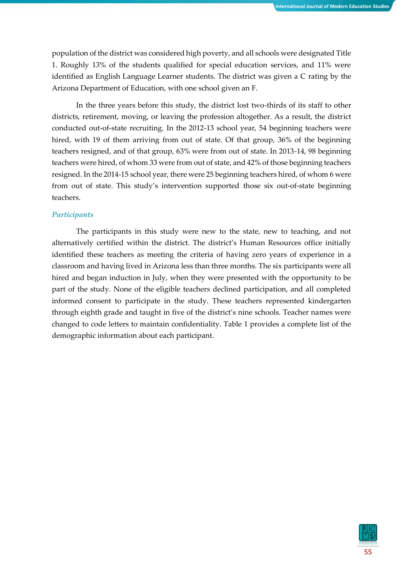population of the district was considered high poverty, and all schools were designated Title 1. Roughly 13% of the students qualified for special education services, and 11% were identified as English Language Learner students. The district was given a C rating by the Arizona Department of Education, with one school given an F.

In the three years before this study, the district lost two-thirds of its staff to other districts, retirement, moving, or leaving the profession altogether. As a result, the district conducted out-of-state recruiting. In the 2012-13 school year, 54 beginning teachers were hired, with 19 of them arriving from out of state. Of that group, 36% of the beginning teachers resigned, and of that group, 63% were from out of state. In 2013-14, 98 beginning teachers were hired, of whom 33 were from out of state, and 42% of those beginning teachers resigned. In the 2014-15 school year, there were 25 beginning teachers hired, of whom 6 were from out of state. This study's intervention supported those six out-of-state beginning teachers.

#### *Participants*

The participants in this study were new to the state, new to teaching, and not alternatively certified within the district. The district's Human Resources office initially identified these teachers as meeting the criteria of having zero years of experience in a classroom and having lived in Arizona less than three months. The six participants were all hired and began induction in July, when they were presented with the opportunity to be part of the study. None of the eligible teachers declined participation, and all completed informed consent to participate in the study. These teachers represented kindergarten through eighth grade and taught in five of the district's nine schools. Teacher names were changed to code letters to maintain confidentiality. Table 1 provides a complete list of the demographic information about each participant.

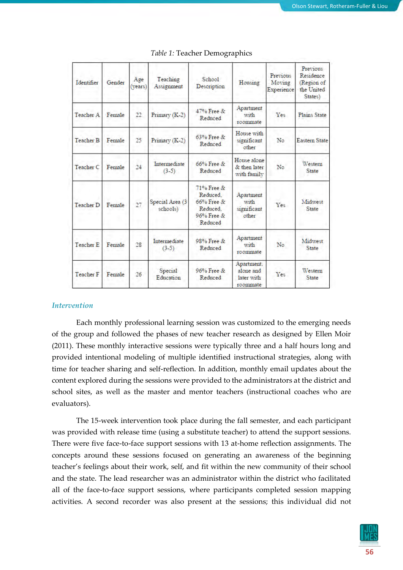| Identifier           | Gender | Age<br>(vears) | Teaching<br>Assignment      | School<br>Description                                                          | Housing                                           | <b>Previous</b><br>Moving<br>Experience | Previous<br>Residence<br>(Region of<br>the United<br>States) |
|----------------------|--------|----------------|-----------------------------|--------------------------------------------------------------------------------|---------------------------------------------------|-----------------------------------------|--------------------------------------------------------------|
| Teacher A            | Female | 22             | Primary (K-2)               | 47% Free &<br>Reduced                                                          | Apartment<br>with<br>roommate                     | Yes                                     | Plains State                                                 |
| Teacher B            | Female | 25             | Primary (K-2)               | 63% Free &<br>Reduced                                                          | House with<br>significant<br>other                | No                                      | <b>Eastern State</b>                                         |
| Teacher <sub>C</sub> | Female | 24             | Intermediate<br>$(3-5)$     | $66\%$ Free $\&$<br>Reduced                                                    | House alone<br>& then later<br>with family        | No                                      | Western<br><b>State</b>                                      |
| <b>Teacher D</b>     | Female | 27             | Special Area (3<br>schools) | 71% Free &<br>Reduced.<br>$66\%$ Free $\&$<br>Reduced<br>96% Free &<br>Reduced | Apartment<br>with<br>significant<br>other         | Yes                                     | Midwest<br><b>State</b>                                      |
| Teacher E            | Female | 28             | Intermediate<br>$(3-5)$     | 98% Free &<br>Reduced                                                          | Apartment<br>with<br>roommate                     | N <sub>o</sub>                          | Midwest<br><b>State</b>                                      |
| Teacher F            | Female | 26             | Special<br>Education        | 96% Free &<br>Reduced                                                          | Apartment.<br>alone and<br>later with<br>roommate | Yes                                     | Western<br>State                                             |

#### *Table 1:* Teacher Demographics

#### *Intervention*

Each monthly professional learning session was customized to the emerging needs of the group and followed the phases of new teacher research as designed by Ellen Moir (2011). These monthly interactive sessions were typically three and a half hours long and provided intentional modeling of multiple identified instructional strategies, along with time for teacher sharing and self-reflection. In addition, monthly email updates about the content explored during the sessions were provided to the administrators at the district and school sites, as well as the master and mentor teachers (instructional coaches who are evaluators).

The 15-week intervention took place during the fall semester, and each participant was provided with release time (using a substitute teacher) to attend the support sessions. There were five face-to-face support sessions with 13 at-home reflection assignments. The concepts around these sessions focused on generating an awareness of the beginning teacher's feelings about their work, self, and fit within the new community of their school and the state. The lead researcher was an administrator within the district who facilitated all of the face-to-face support sessions, where participants completed session mapping activities. A second recorder was also present at the sessions; this individual did not

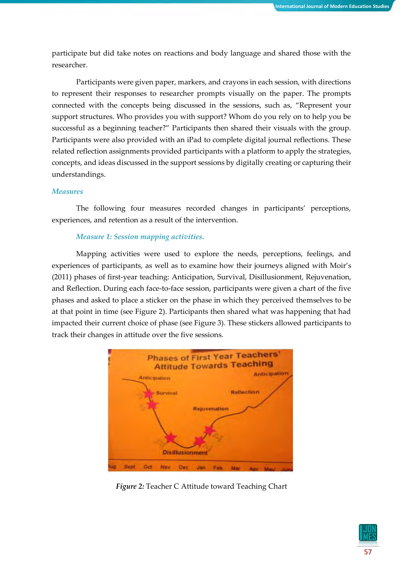participate but did take notes on reactions and body language and shared those with the researcher.

Participants were given paper, markers, and crayons in each session, with directions to represent their responses to researcher prompts visually on the paper. The prompts connected with the concepts being discussed in the sessions, such as, "Represent your support structures. Who provides you with support? Whom do you rely on to help you be successful as a beginning teacher?" Participants then shared their visuals with the group. Participants were also provided with an iPad to complete digital journal reflections. These related reflection assignments provided participants with a platform to apply the strategies, concepts, and ideas discussed in the support sessions by digitally creating or capturing their understandings.

#### *Measures*

The following four measures recorded changes in participants' perceptions, experiences, and retention as a result of the intervention.

#### *Measure 1: Session mapping activities.*

Mapping activities were used to explore the needs, perceptions, feelings, and experiences of participants, as well as to examine how their journeys aligned with Moir's (2011) phases of first-year teaching: Anticipation, Survival, Disillusionment, Rejuvenation, and Reflection. During each face-to-face session, participants were given a chart of the five phases and asked to place a sticker on the phase in which they perceived themselves to be at that point in time (see Figure 2). Participants then shared what was happening that had impacted their current choice of phase (see Figure 3). These stickers allowed participants to track their changes in attitude over the five sessions.



*Figure 2:* Teacher C Attitude toward Teaching Chart

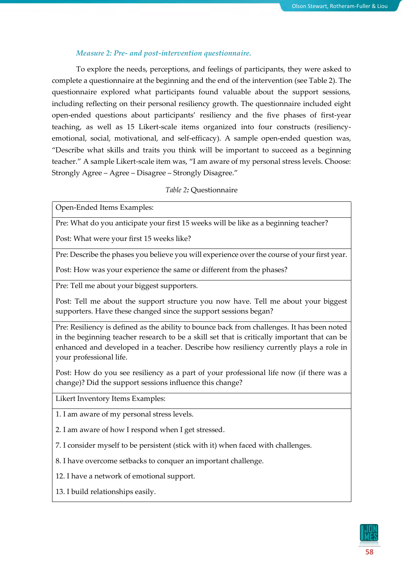## *Measure 2: Pre- and post-intervention questionnaire.*

To explore the needs, perceptions, and feelings of participants, they were asked to complete a questionnaire at the beginning and the end of the intervention (see Table 2). The questionnaire explored what participants found valuable about the support sessions, including reflecting on their personal resiliency growth. The questionnaire included eight open-ended questions about participants' resiliency and the five phases of first-year teaching, as well as 15 Likert-scale items organized into four constructs (resiliencyemotional, social, motivational, and self-efficacy). A sample open-ended question was, "Describe what skills and traits you think will be important to succeed as a beginning teacher." A sample Likert-scale item was, "I am aware of my personal stress levels. Choose: Strongly Agree – Agree – Disagree – Strongly Disagree."

## *Table 2:* Questionnaire

Open-Ended Items Examples:

Pre: What do you anticipate your first 15 weeks will be like as a beginning teacher?

Post: What were your first 15 weeks like?

Pre: Describe the phases you believe you will experience over the course of your first year.

Post: How was your experience the same or different from the phases?

Pre: Tell me about your biggest supporters.

Post: Tell me about the support structure you now have. Tell me about your biggest supporters. Have these changed since the support sessions began?

Pre: Resiliency is defined as the ability to bounce back from challenges. It has been noted in the beginning teacher research to be a skill set that is critically important that can be enhanced and developed in a teacher. Describe how resiliency currently plays a role in your professional life.

Post: How do you see resiliency as a part of your professional life now (if there was a change)? Did the support sessions influence this change?

Likert Inventory Items Examples:

1. I am aware of my personal stress levels.

2. I am aware of how I respond when I get stressed.

7. I consider myself to be persistent (stick with it) when faced with challenges.

8. I have overcome setbacks to conquer an important challenge.

12. I have a network of emotional support.

13. I build relationships easily.

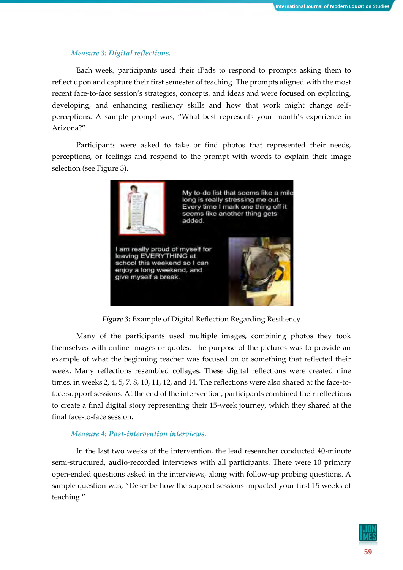## *Measure 3: Digital reflections.*

Each week, participants used their iPads to respond to prompts asking them to reflect upon and capture their first semester of teaching. The prompts aligned with the most recent face-to-face session's strategies, concepts, and ideas and were focused on exploring, developing, and enhancing resiliency skills and how that work might change selfperceptions. A sample prompt was, "What best represents your month's experience in Arizona?"

Participants were asked to take or find photos that represented their needs, perceptions, or feelings and respond to the prompt with words to explain their image selection (see Figure 3).



*Figure 3:* Example of Digital Reflection Regarding Resiliency

Many of the participants used multiple images, combining photos they took themselves with online images or quotes. The purpose of the pictures was to provide an example of what the beginning teacher was focused on or something that reflected their week. Many reflections resembled collages. These digital reflections were created nine times, in weeks 2, 4, 5, 7, 8, 10, 11, 12, and 14. The reflections were also shared at the face-toface support sessions. At the end of the intervention, participants combined their reflections to create a final digital story representing their 15-week journey, which they shared at the final face-to-face session.

## *Measure 4: Post-intervention interviews.*

In the last two weeks of the intervention, the lead researcher conducted 40-minute semi-structured, audio-recorded interviews with all participants. There were 10 primary open-ended questions asked in the interviews, along with follow-up probing questions. A sample question was, "Describe how the support sessions impacted your first 15 weeks of teaching."

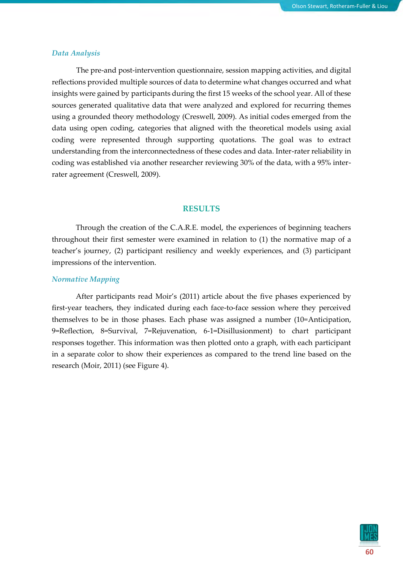#### *Data Analysis*

The pre-and post-intervention questionnaire, session mapping activities, and digital reflections provided multiple sources of data to determine what changes occurred and what insights were gained by participants during the first 15 weeks of the school year. All of these sources generated qualitative data that were analyzed and explored for recurring themes using a grounded theory methodology (Creswell, 2009). As initial codes emerged from the data using open coding, categories that aligned with the theoretical models using axial coding were represented through supporting quotations. The goal was to extract understanding from the interconnectedness of these codes and data. Inter-rater reliability in coding was established via another researcher reviewing 30% of the data, with a 95% interrater agreement (Creswell, 2009).

#### **RESULTS**

Through the creation of the C.A.R.E. model, the experiences of beginning teachers throughout their first semester were examined in relation to (1) the normative map of a teacher's journey, (2) participant resiliency and weekly experiences, and (3) participant impressions of the intervention.

## *Normative Mapping*

After participants read Moir's (2011) article about the five phases experienced by first-year teachers, they indicated during each face-to-face session where they perceived themselves to be in those phases. Each phase was assigned a number (10=Anticipation, 9=Reflection, 8=Survival, 7=Rejuvenation, 6-1=Disillusionment) to chart participant responses together. This information was then plotted onto a graph, with each participant in a separate color to show their experiences as compared to the trend line based on the research (Moir, 2011) (see Figure 4).

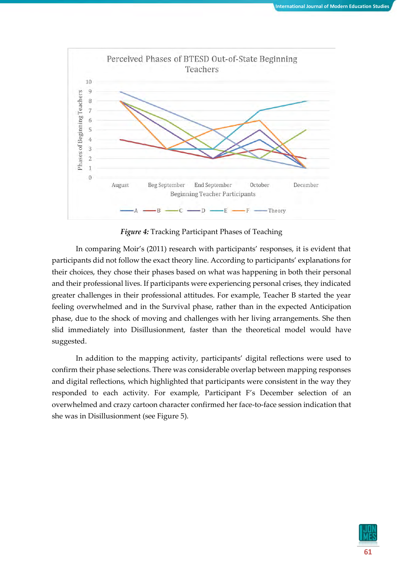

*Figure 4:* Tracking Participant Phases of Teaching

In comparing Moir's (2011) research with participants' responses, it is evident that participants did not follow the exact theory line. According to participants' explanations for their choices, they chose their phases based on what was happening in both their personal and their professional lives. If participants were experiencing personal crises, they indicated greater challenges in their professional attitudes. For example, Teacher B started the year feeling overwhelmed and in the Survival phase, rather than in the expected Anticipation phase, due to the shock of moving and challenges with her living arrangements. She then slid immediately into Disillusionment, faster than the theoretical model would have suggested.

In addition to the mapping activity, participants' digital reflections were used to confirm their phase selections. There was considerable overlap between mapping responses and digital reflections, which highlighted that participants were consistent in the way they responded to each activity. For example, Participant F's December selection of an overwhelmed and crazy cartoon character confirmed her face-to-face session indication that she was in Disillusionment (see Figure 5).

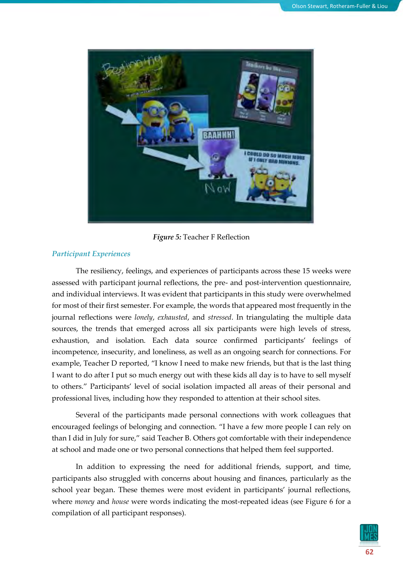

*Figure 5:* Teacher F Reflection

## *Participant Experiences*

The resiliency, feelings, and experiences of participants across these 15 weeks were assessed with participant journal reflections, the pre- and post-intervention questionnaire, and individual interviews. It was evident that participants in this study were overwhelmed for most of their first semester. For example, the words that appeared most frequently in the journal reflections were *lonely*, *exhausted*, and *stressed*. In triangulating the multiple data sources, the trends that emerged across all six participants were high levels of stress, exhaustion, and isolation. Each data source confirmed participants' feelings of incompetence, insecurity, and loneliness, as well as an ongoing search for connections. For example, Teacher D reported, "I know I need to make new friends, but that is the last thing I want to do after I put so much energy out with these kids all day is to have to sell myself to others." Participants' level of social isolation impacted all areas of their personal and professional lives, including how they responded to attention at their school sites.

Several of the participants made personal connections with work colleagues that encouraged feelings of belonging and connection. "I have a few more people I can rely on than I did in July for sure," said Teacher B. Others got comfortable with their independence at school and made one or two personal connections that helped them feel supported.

In addition to expressing the need for additional friends, support, and time, participants also struggled with concerns about housing and finances, particularly as the school year began. These themes were most evident in participants' journal reflections, where *money* and *house* were words indicating the most-repeated ideas (see Figure 6 for a compilation of all participant responses).

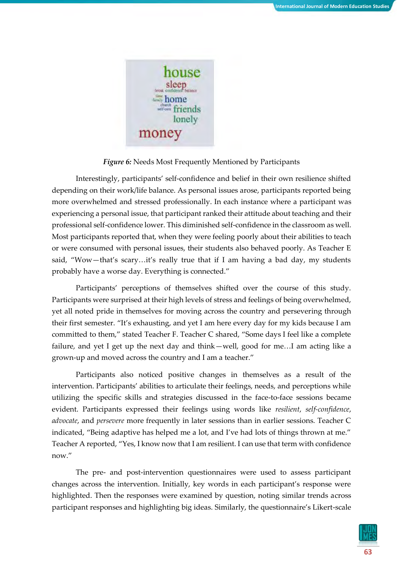

*Figure 6:* Needs Most Frequently Mentioned by Participants

Interestingly, participants' self-confidence and belief in their own resilience shifted depending on their work/life balance. As personal issues arose, participants reported being more overwhelmed and stressed professionally. In each instance where a participant was experiencing a personal issue, that participant ranked their attitude about teaching and their professional self-confidence lower. This diminished self-confidence in the classroom as well. Most participants reported that, when they were feeling poorly about their abilities to teach or were consumed with personal issues, their students also behaved poorly. As Teacher E said, "Wow—that's scary…it's really true that if I am having a bad day, my students probably have a worse day. Everything is connected."

Participants' perceptions of themselves shifted over the course of this study. Participants were surprised at their high levels of stress and feelings of being overwhelmed, yet all noted pride in themselves for moving across the country and persevering through their first semester. "It's exhausting, and yet I am here every day for my kids because I am committed to them," stated Teacher F. Teacher C shared, "Some days I feel like a complete failure, and yet I get up the next day and think—well, good for me…I am acting like a grown-up and moved across the country and I am a teacher."

Participants also noticed positive changes in themselves as a result of the intervention. Participants' abilities to articulate their feelings, needs, and perceptions while utilizing the specific skills and strategies discussed in the face-to-face sessions became evident. Participants expressed their feelings using words like *resilient*, *self-confidence*, *advocate*, and *persevere* more frequently in later sessions than in earlier sessions. Teacher C indicated, "Being adaptive has helped me a lot, and I've had lots of things thrown at me." Teacher A reported, "Yes, I know now that I am resilient. I can use that term with confidence now."

The pre- and post-intervention questionnaires were used to assess participant changes across the intervention. Initially, key words in each participant's response were highlighted. Then the responses were examined by question, noting similar trends across participant responses and highlighting big ideas. Similarly, the questionnaire's Likert-scale

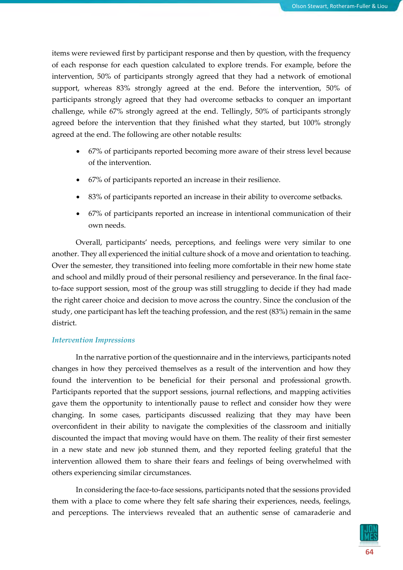items were reviewed first by participant response and then by question, with the frequency of each response for each question calculated to explore trends. For example, before the intervention, 50% of participants strongly agreed that they had a network of emotional support, whereas 83% strongly agreed at the end. Before the intervention, 50% of participants strongly agreed that they had overcome setbacks to conquer an important challenge, while 67% strongly agreed at the end. Tellingly, 50% of participants strongly agreed before the intervention that they finished what they started, but 100% strongly agreed at the end. The following are other notable results:

- 67% of participants reported becoming more aware of their stress level because of the intervention.
- 67% of participants reported an increase in their resilience.
- 83% of participants reported an increase in their ability to overcome setbacks.
- 67% of participants reported an increase in intentional communication of their own needs.

Overall, participants' needs, perceptions, and feelings were very similar to one another. They all experienced the initial culture shock of a move and orientation to teaching. Over the semester, they transitioned into feeling more comfortable in their new home state and school and mildly proud of their personal resiliency and perseverance. In the final faceto-face support session, most of the group was still struggling to decide if they had made the right career choice and decision to move across the country. Since the conclusion of the study, one participant has left the teaching profession, and the rest (83%) remain in the same district.

#### *Intervention Impressions*

In the narrative portion of the questionnaire and in the interviews, participants noted changes in how they perceived themselves as a result of the intervention and how they found the intervention to be beneficial for their personal and professional growth. Participants reported that the support sessions, journal reflections, and mapping activities gave them the opportunity to intentionally pause to reflect and consider how they were changing. In some cases, participants discussed realizing that they may have been overconfident in their ability to navigate the complexities of the classroom and initially discounted the impact that moving would have on them. The reality of their first semester in a new state and new job stunned them, and they reported feeling grateful that the intervention allowed them to share their fears and feelings of being overwhelmed with others experiencing similar circumstances.

In considering the face-to-face sessions, participants noted that the sessions provided them with a place to come where they felt safe sharing their experiences, needs, feelings, and perceptions. The interviews revealed that an authentic sense of camaraderie and

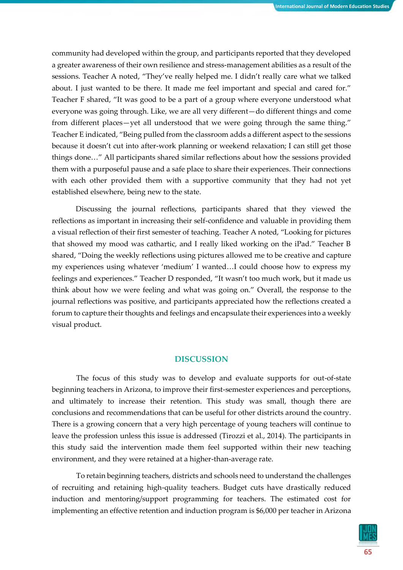community had developed within the group, and participants reported that they developed a greater awareness of their own resilience and stress-management abilities as a result of the sessions. Teacher A noted, "They've really helped me. I didn't really care what we talked about. I just wanted to be there. It made me feel important and special and cared for." Teacher F shared, "It was good to be a part of a group where everyone understood what everyone was going through. Like, we are all very different—do different things and come from different places—yet all understood that we were going through the same thing." Teacher E indicated, "Being pulled from the classroom adds a different aspect to the sessions because it doesn't cut into after-work planning or weekend relaxation; I can still get those things done…" All participants shared similar reflections about how the sessions provided them with a purposeful pause and a safe place to share their experiences. Their connections with each other provided them with a supportive community that they had not yet established elsewhere, being new to the state.

Discussing the journal reflections, participants shared that they viewed the reflections as important in increasing their self-confidence and valuable in providing them a visual reflection of their first semester of teaching. Teacher A noted, "Looking for pictures that showed my mood was cathartic, and I really liked working on the iPad." Teacher B shared, "Doing the weekly reflections using pictures allowed me to be creative and capture my experiences using whatever 'medium' I wanted…I could choose how to express my feelings and experiences." Teacher D responded, "It wasn't too much work, but it made us think about how we were feeling and what was going on." Overall, the response to the journal reflections was positive, and participants appreciated how the reflections created a forum to capture their thoughts and feelings and encapsulate their experiences into a weekly visual product.

## **DISCUSSION**

The focus of this study was to develop and evaluate supports for out-of-state beginning teachers in Arizona, to improve their first-semester experiences and perceptions, and ultimately to increase their retention. This study was small, though there are conclusions and recommendations that can be useful for other districts around the country. There is a growing concern that a very high percentage of young teachers will continue to leave the profession unless this issue is addressed (Tirozzi et al., 2014). The participants in this study said the intervention made them feel supported within their new teaching environment, and they were retained at a higher-than-average rate.

To retain beginning teachers, districts and schools need to understand the challenges of recruiting and retaining high-quality teachers. Budget cuts have drastically reduced induction and mentoring/support programming for teachers. The estimated cost for implementing an effective retention and induction program is \$6,000 per teacher in Arizona

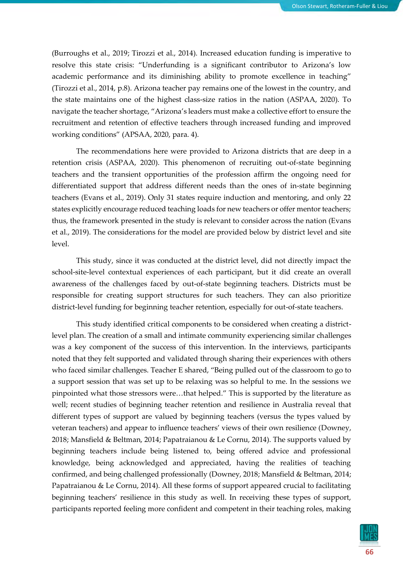(Burroughs et al., 2019; Tirozzi et al., 2014). Increased education funding is imperative to resolve this state crisis: "Underfunding is a significant contributor to Arizona's low academic performance and its diminishing ability to promote excellence in teaching" (Tirozzi et al., 2014, p.8). Arizona teacher pay remains one of the lowest in the country, and the state maintains one of the highest class-size ratios in the nation (ASPAA, 2020). To navigate the teacher shortage, "Arizona's leaders must make a collective effort to ensure the recruitment and retention of effective teachers through increased funding and improved working conditions" (APSAA, 2020, para. 4).

The recommendations here were provided to Arizona districts that are deep in a retention crisis (ASPAA, 2020). This phenomenon of recruiting out-of-state beginning teachers and the transient opportunities of the profession affirm the ongoing need for differentiated support that address different needs than the ones of in-state beginning teachers (Evans et al., 2019). Only 31 states require induction and mentoring, and only 22 states explicitly encourage reduced teaching loads for new teachers or offer mentor teachers; thus, the framework presented in the study is relevant to consider across the nation (Evans et al., 2019). The considerations for the model are provided below by district level and site level.

This study, since it was conducted at the district level, did not directly impact the school-site-level contextual experiences of each participant, but it did create an overall awareness of the challenges faced by out-of-state beginning teachers. Districts must be responsible for creating support structures for such teachers. They can also prioritize district-level funding for beginning teacher retention, especially for out-of-state teachers.

This study identified critical components to be considered when creating a districtlevel plan. The creation of a small and intimate community experiencing similar challenges was a key component of the success of this intervention. In the interviews, participants noted that they felt supported and validated through sharing their experiences with others who faced similar challenges. Teacher E shared, "Being pulled out of the classroom to go to a support session that was set up to be relaxing was so helpful to me. In the sessions we pinpointed what those stressors were…that helped." This is supported by the literature as well; recent studies of beginning teacher retention and resilience in Australia reveal that different types of support are valued by beginning teachers (versus the types valued by veteran teachers) and appear to influence teachers' views of their own resilience (Downey, 2018; Mansfield & Beltman, 2014; Papatraianou & Le Cornu, 2014). The supports valued by beginning teachers include being listened to, being offered advice and professional knowledge, being acknowledged and appreciated, having the realities of teaching confirmed, and being challenged professionally (Downey, 2018; Mansfield & Beltman, 2014; Papatraianou & Le Cornu, 2014). All these forms of support appeared crucial to facilitating beginning teachers' resilience in this study as well. In receiving these types of support, participants reported feeling more confident and competent in their teaching roles, making

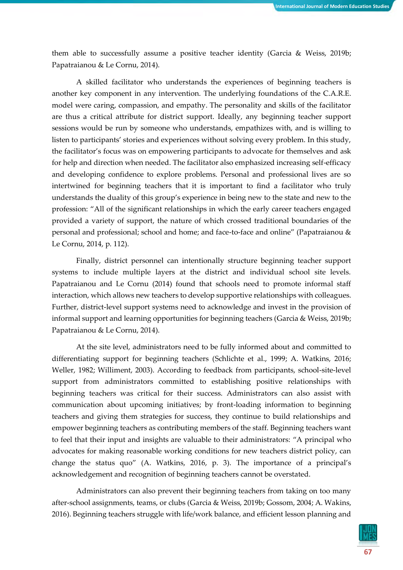them able to successfully assume a positive teacher identity (Garcia & Weiss, 2019b; Papatraianou & Le Cornu, 2014).

A skilled facilitator who understands the experiences of beginning teachers is another key component in any intervention. The underlying foundations of the C.A.R.E. model were caring, compassion, and empathy. The personality and skills of the facilitator are thus a critical attribute for district support. Ideally, any beginning teacher support sessions would be run by someone who understands, empathizes with, and is willing to listen to participants' stories and experiences without solving every problem. In this study, the facilitator's focus was on empowering participants to advocate for themselves and ask for help and direction when needed. The facilitator also emphasized increasing self-efficacy and developing confidence to explore problems. Personal and professional lives are so intertwined for beginning teachers that it is important to find a facilitator who truly understands the duality of this group's experience in being new to the state and new to the profession: "All of the significant relationships in which the early career teachers engaged provided a variety of support, the nature of which crossed traditional boundaries of the personal and professional; school and home; and face-to-face and online" (Papatraianou & Le Cornu, 2014, p. 112).

Finally, district personnel can intentionally structure beginning teacher support systems to include multiple layers at the district and individual school site levels. Papatraianou and Le Cornu (2014) found that schools need to promote informal staff interaction, which allows new teachers to develop supportive relationships with colleagues. Further, district-level support systems need to acknowledge and invest in the provision of informal support and learning opportunities for beginning teachers (Garcia & Weiss, 2019b; Papatraianou & Le Cornu, 2014).

At the site level, administrators need to be fully informed about and committed to differentiating support for beginning teachers (Schlichte et al., 1999; A. Watkins, 2016; Weller, 1982; Williment, 2003). According to feedback from participants, school-site-level support from administrators committed to establishing positive relationships with beginning teachers was critical for their success. Administrators can also assist with communication about upcoming initiatives; by front-loading information to beginning teachers and giving them strategies for success, they continue to build relationships and empower beginning teachers as contributing members of the staff. Beginning teachers want to feel that their input and insights are valuable to their administrators: "A principal who advocates for making reasonable working conditions for new teachers district policy, can change the status quo" (A. Watkins, 2016, p. 3). The importance of a principal's acknowledgement and recognition of beginning teachers cannot be overstated.

Administrators can also prevent their beginning teachers from taking on too many after-school assignments, teams, or clubs (Garcia & Weiss, 2019b; Gossom, 2004; A. Wakins, 2016). Beginning teachers struggle with life/work balance, and efficient lesson planning and

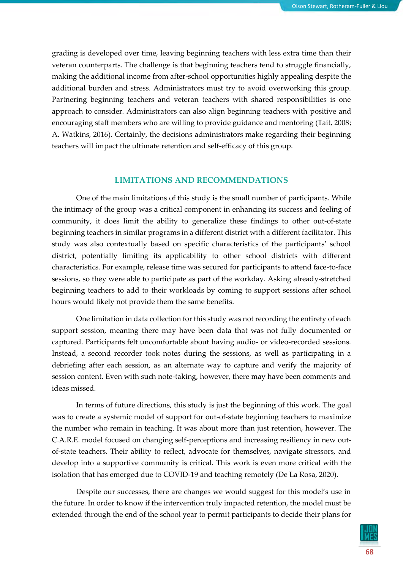grading is developed over time, leaving beginning teachers with less extra time than their veteran counterparts. The challenge is that beginning teachers tend to struggle financially, making the additional income from after-school opportunities highly appealing despite the additional burden and stress. Administrators must try to avoid overworking this group. Partnering beginning teachers and veteran teachers with shared responsibilities is one approach to consider. Administrators can also align beginning teachers with positive and encouraging staff members who are willing to provide guidance and mentoring (Tait, 2008; A. Watkins, 2016). Certainly, the decisions administrators make regarding their beginning teachers will impact the ultimate retention and self-efficacy of this group.

## **LIMITATIONS AND RECOMMENDATIONS**

One of the main limitations of this study is the small number of participants. While the intimacy of the group was a critical component in enhancing its success and feeling of community, it does limit the ability to generalize these findings to other out-of-state beginning teachers in similar programs in a different district with a different facilitator. This study was also contextually based on specific characteristics of the participants' school district, potentially limiting its applicability to other school districts with different characteristics. For example, release time was secured for participants to attend face-to-face sessions, so they were able to participate as part of the workday. Asking already-stretched beginning teachers to add to their workloads by coming to support sessions after school hours would likely not provide them the same benefits.

One limitation in data collection for this study was not recording the entirety of each support session, meaning there may have been data that was not fully documented or captured. Participants felt uncomfortable about having audio- or video-recorded sessions. Instead, a second recorder took notes during the sessions, as well as participating in a debriefing after each session, as an alternate way to capture and verify the majority of session content. Even with such note-taking, however, there may have been comments and ideas missed.

In terms of future directions, this study is just the beginning of this work. The goal was to create a systemic model of support for out-of-state beginning teachers to maximize the number who remain in teaching. It was about more than just retention, however. The C.A.R.E. model focused on changing self-perceptions and increasing resiliency in new outof-state teachers. Their ability to reflect, advocate for themselves, navigate stressors, and develop into a supportive community is critical. This work is even more critical with the isolation that has emerged due to COVID-19 and teaching remotely (De La Rosa, 2020).

Despite our successes, there are changes we would suggest for this model's use in the future. In order to know if the intervention truly impacted retention, the model must be extended through the end of the school year to permit participants to decide their plans for

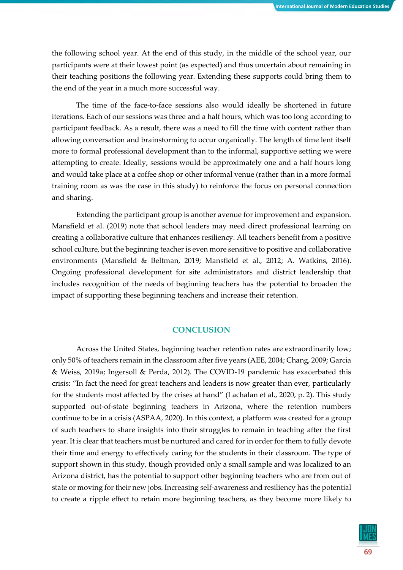the following school year. At the end of this study, in the middle of the school year, our participants were at their lowest point (as expected) and thus uncertain about remaining in their teaching positions the following year. Extending these supports could bring them to the end of the year in a much more successful way.

The time of the face-to-face sessions also would ideally be shortened in future iterations. Each of our sessions was three and a half hours, which was too long according to participant feedback. As a result, there was a need to fill the time with content rather than allowing conversation and brainstorming to occur organically. The length of time lent itself more to formal professional development than to the informal, supportive setting we were attempting to create. Ideally, sessions would be approximately one and a half hours long and would take place at a coffee shop or other informal venue (rather than in a more formal training room as was the case in this study) to reinforce the focus on personal connection and sharing.

Extending the participant group is another avenue for improvement and expansion. Mansfield et al. (2019) note that school leaders may need direct professional learning on creating a collaborative culture that enhances resiliency. All teachers benefit from a positive school culture, but the beginning teacher is even more sensitive to positive and collaborative environments (Mansfield & Beltman, 2019; Mansfield et al., 2012; A. Watkins, 2016). Ongoing professional development for site administrators and district leadership that includes recognition of the needs of beginning teachers has the potential to broaden the impact of supporting these beginning teachers and increase their retention.

## **CONCLUSION**

Across the United States, beginning teacher retention rates are extraordinarily low; only 50% of teachers remain in the classroom after five years (AEE, 2004; Chang, 2009; Garcia & Weiss, 2019a; Ingersoll & Perda, 2012). The COVID-19 pandemic has exacerbated this crisis: "In fact the need for great teachers and leaders is now greater than ever, particularly for the students most affected by the crises at hand" (Lachalan et al., 2020, p. 2). This study supported out-of-state beginning teachers in Arizona, where the retention numbers continue to be in a crisis (ASPAA, 2020). In this context, a platform was created for a group of such teachers to share insights into their struggles to remain in teaching after the first year. It is clear that teachers must be nurtured and cared for in order for them to fully devote their time and energy to effectively caring for the students in their classroom. The type of support shown in this study, though provided only a small sample and was localized to an Arizona district, has the potential to support other beginning teachers who are from out of state or moving for their new jobs. Increasing self-awareness and resiliency has the potential to create a ripple effect to retain more beginning teachers, as they become more likely to

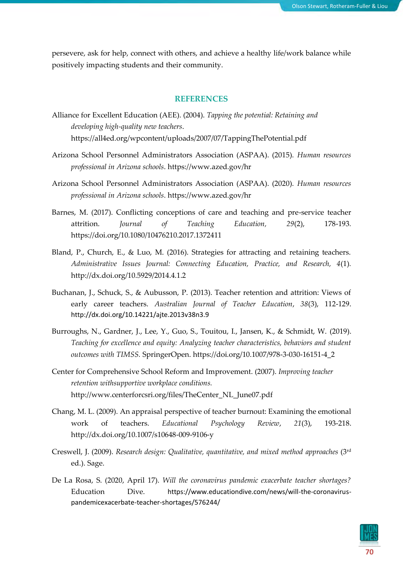persevere, ask for help, connect with others, and achieve a healthy life/work balance while positively impacting students and their community.

## **REFERENCES**

- Alliance for Excellent Education (AEE). (2004). *Tapping the potential: Retaining and developing high-quality new teachers*. https://all4ed.org/wpcontent/uploads/2007/07/TappingThePotential.pdf
- Arizona School Personnel Administrators Association (ASPAA). (2015). *Human resources professional in Arizona schools*. https://www.azed.gov/hr
- Arizona School Personnel Administrators Association (ASPAA). (2020). *Human resources professional in Arizona schools*. https://www.azed.gov/hr
- Barnes, M. (2017). Conflicting conceptions of care and teaching and pre-service teacher attrition. *Journal of Teaching Education, 29*(2), 178-193*.*  https://doi.org/10.1080/10476210.2017.1372411
- Bland, P., Church, E., & Luo, M. (2016). Strategies for attracting and retaining teachers. *Administrative Issues Journal: Connecting Education, Practice, and Research, 4*(1)*.*  http://dx.doi.org/10.5929/2014.4.1.2
- Buchanan, J., Schuck, S., & Aubusson, P. (2013). Teacher retention and attrition: Views of early career teachers. *Australian Journal of Teacher Education*, *38*(3), 112-129. http://dx.doi.org/10.14221/ajte.2013v38n3.9
- Burroughs, N., Gardner, J., Lee, Y., Guo, S., Touitou, I., Jansen, K., & Schmidt, W. (2019). *Teaching for excellence and equity: Analyzing teacher characteristics, behaviors and student outcomes with TIMSS.* SpringerOpen. https://doi.org/10.1007/978-3-030-16151-4\_2
- Center for Comprehensive School Reform and Improvement. (2007). *Improving teacher retention withsupportive workplace conditions.*  http://www.centerforcsri.org/files/TheCenter\_NL\_June07.pdf
- Chang, M. L. (2009). An appraisal perspective of teacher burnout: Examining the emotional work of teachers. *Educational Psychology Review*, *21*(3), 193-218. http://dx.doi.org/10.1007/s10648-009-9106-y
- Creswell, J. (2009). *Research design: Qualitative, quantitative, and mixed method approaches* (3rd ed.). Sage.
- De La Rosa, S. (2020, April 17). *Will the coronavirus pandemic exacerbate teacher shortages?* Education Dive. https://www.educationdive.com/news/will-the-coronaviruspandemicexacerbate-teacher-shortages/576244/

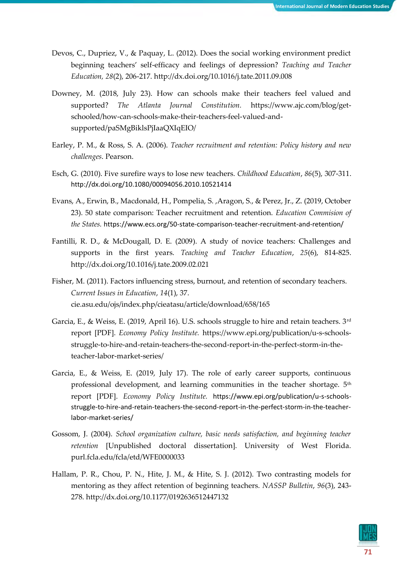- Devos, C., Dupriez, V., & Paquay, L. (2012). Does the social working environment predict beginning teachers' self-efficacy and feelings of depression? *Teaching and Teacher Education, 28*(2), 206-217. http://dx.doi.org/10.1016/j.tate.2011.09.008
- Downey, M. (2018, July 23). How can schools make their teachers feel valued and supported? *The Atlanta Journal Constitution.* https://www.ajc.com/blog/getschooled/how-can-schools-make-their-teachers-feel-valued-andsupported/paSMgBiklsPjIaaQXIqEIO/
- Earley, P. M., & Ross, S. A. (2006). *Teacher recruitment and retention: Policy history and new challenges*. Pearson.
- Esch, G. (2010). Five surefire ways to lose new teachers. *Childhood Education*, *86*(5), 307-311. http://dx.doi.org/10.1080/00094056.2010.10521414
- Evans, A., Erwin, B., Macdonald, H., Pompelia, S. ,Aragon, S., & Perez, Jr., Z. (2019, October 23). 50 state comparison: Teacher recruitment and retention. *Education Commision of the States.* https://www.ecs.org/50-state-comparison-teacher-recruitment-and-retention/
- Fantilli, R. D., & McDougall, D. E. (2009). A study of novice teachers: Challenges and supports in the first years. *Teaching and Teacher Education*, *25*(6), 814-825. http://dx.doi.org/10.1016/j.tate.2009.02.021
- Fisher, M. (2011). Factors influencing stress, burnout, and retention of secondary teachers. *Current Issues in Education*, *14*(1), 37. cie.asu.edu/ojs/index.php/cieatasu/article/download/658/165
- Garcia, E., & Weiss, E. (2019, April 16). U.S. schools struggle to hire and retain teachers. 3rd report [PDF]. *Economy Policy Institute.* https://www.epi.org/publication/u-s-schoolsstruggle-to-hire-and-retain-teachers-the-second-report-in-the-perfect-storm-in-theteacher-labor-market-series/
- Garcia, E., & Weiss, E. (2019, July 17). The role of early career supports, continuous professional development, and learning communities in the teacher shortage. 5<sup>th</sup> report [PDF]. *Economy Policy Institute.* https://www.epi.org/publication/u-s-schoolsstruggle-to-hire-and-retain-teachers-the-second-report-in-the-perfect-storm-in-the-teacherlabor-market-series/
- Gossom, J. (2004). *School organization culture, basic needs satisfaction, and beginning teacher retention* [Unpublished doctoral dissertation]. University of West Florida. purl.fcla.edu/fcla/etd/WFE0000033
- Hallam, P. R., Chou, P. N., Hite, J. M., & Hite, S. J. (2012). Two contrasting models for mentoring as they affect retention of beginning teachers. *NASSP Bulletin*, *96*(3), 243- 278. http://dx.doi.org/10.1177/0192636512447132

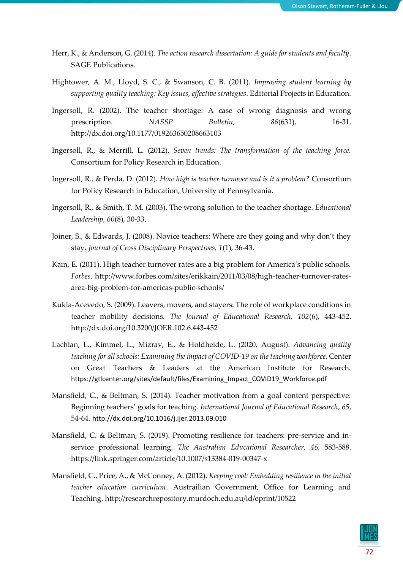- Herr, K., & Anderson, G. (2014). *The action research dissertation: A guide for students and faculty*. SAGE Publications.
- Hightower, A. M., Lloyd, S. C., & Swanson, C. B. (2011). *Improving student learning by supporting quality teaching: Key issues, effective strategies*. Editorial Projects in Education.
- Ingersoll, R. (2002). The teacher shortage: A case of wrong diagnosis and wrong prescription. *NASSP Bulletin*, *86*(631), 16-31. http://dx.doi.org/10.1177/019263650208663103
- Ingersoll, R., & Merrill, L. (2012). *Seven trends: The transformation of the teaching force.* Consortium for Policy Research in Education.
- Ingersoll, R., & Perda, D. (2012). *How high is teacher turnover and is it a problem?* Consortium for Policy Research in Education, University of Pennsylvania.
- Ingersoll, R., & Smith, T. M. (2003). The wrong solution to the teacher shortage. *Educational Leadership, 60*(8), 30-33.
- Joiner, S., & Edwards, J. (2008). Novice teachers: Where are they going and why don't they stay. *Journal of Cross Disciplinary Perspectives, 1*(1), 36-43.
- Kain, E. (2011). High teacher turnover rates are a big problem for America's public schools. *Forbes*. http://www.forbes.com/sites/erikkain/2011/03/08/high-teacher-turnover-ratesarea-big-problem-for-americas-public-schools/
- Kukla-Acevedo, S. (2009). Leavers, movers, and stayers: The role of workplace conditions in teacher mobility decisions. *The Journal of Educational Research, 102*(6), 443-452. http://dx.doi.org/10.3200/JOER.102.6.443-452
- Lachlan, L., Kimmel, L., Mizrav, E., & Holdheide, L. (2020, August). *Advancing quality teaching for all schools: Examining the impact of COVID-19 on the teaching workforce*. Center on Great Teachers & Leaders at the American Institute for Research. https://gtlcenter.org/sites/default/files/Examining\_Impact\_COVID19\_Workforce.pdf
- Mansfield, C., & Beltman, S. (2014). Teacher motivation from a goal content perspective: Beginning teachers' goals for teaching. *International Journal of Educational Research*, *65*, 54-64. http://dx.doi.org/10.1016/j.ijer.2013.09.010
- Mansfield, C. & Beltman, S. (2019). Promoting resilience for teachers: pre-service and inservice professional learning. *The Australian Educational Researcher, 46,* 583-588. https://link.springer.com/article/10.1007/s13384-019-00347-x
- Mansfield, C., Price, A., & McConney, A. (2012). *Keeping cool: Embedding resilience in the initial teacher education curriculum*. Austrailian Government, Office for Learning and Teaching. http://researchrepository.murdoch.edu.au/id/eprint/10522

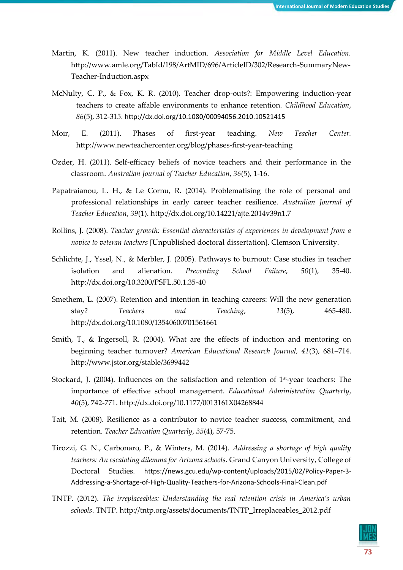- Martin, K. (2011). New teacher induction. *Association for Middle Level Education.*  http://www.amle.org/TabId/198/ArtMID/696/ArticleID/302/Research-SummaryNew-Teacher-Induction.aspx
- McNulty, C. P., & Fox, K. R. (2010). Teacher drop-outs?: Empowering induction-year teachers to create affable environments to enhance retention. *Childhood Education*, *86*(5), 312-315. http://dx.doi.org/10.1080/00094056.2010.10521415
- Moir, E. (2011). Phases of first-year teaching. *New Teacher Center.* http://www.newteachercenter.org/blog/phases-first-year-teaching
- Ozder, H. (2011). Self-efficacy beliefs of novice teachers and their performance in the classroom. *Australian Journal of Teacher Education*, *36*(5), 1-16.
- Papatraianou, L. H., & Le Cornu, R. (2014). Problematising the role of personal and professional relationships in early career teacher resilience. *Australian Journal of Teacher Education*, *39*(1). http://dx.doi.org/10.14221/ajte.2014v39n1.7
- Rollins, J. (2008). *Teacher growth: Essential characteristics of experiences in development from a novice to veteran teachers* [Unpublished doctoral dissertation]. Clemson University.
- Schlichte, J., Yssel, N., & Merbler, J. (2005). Pathways to burnout: Case studies in teacher isolation and alienation. *Preventing School Failure*, *50*(1), 35-40. http://dx.doi.org/10.3200/PSFL.50.1.35-40
- Smethem, L. (2007). Retention and intention in teaching careers: Will the new generation stay? *Teachers and Teaching*, *13*(5), 465-480. http://dx.doi.org/10.1080/13540600701561661
- Smith, T., & Ingersoll, R. (2004). What are the effects of induction and mentoring on beginning teacher turnover? *American Educational Research Journal, 41*(3), 681–714. http://www.jstor.org/stable/3699442
- Stockard, J. (2004). Influences on the satisfaction and retention of 1st-year teachers: The importance of effective school management. *Educational Administration Quarterly*, *40*(5), 742-771. http://dx.doi.org/10.1177/0013161X04268844
- Tait, M. (2008). Resilience as a contributor to novice teacher success, commitment, and retention. *Teacher Education Quarterly*, *35*(4), 57-75.
- Tirozzi, G. N., Carbonaro, P., & Winters, M. (2014). *Addressing a shortage of high quality teachers: An escalating dilemma for Arizona schools*. Grand Canyon University, College of Doctoral Studies. https://news.gcu.edu/wp-content/uploads/2015/02/Policy-Paper-3- Addressing-a-Shortage-of-High-Quality-Teachers-for-Arizona-Schools-Final-Clean.pdf
- TNTP. (2012). *The irreplaceables: Understanding the real retention crisis in America's urban schools*. TNTP. http://tntp.org/assets/documents/TNTP\_Irreplaceables\_2012.pdf